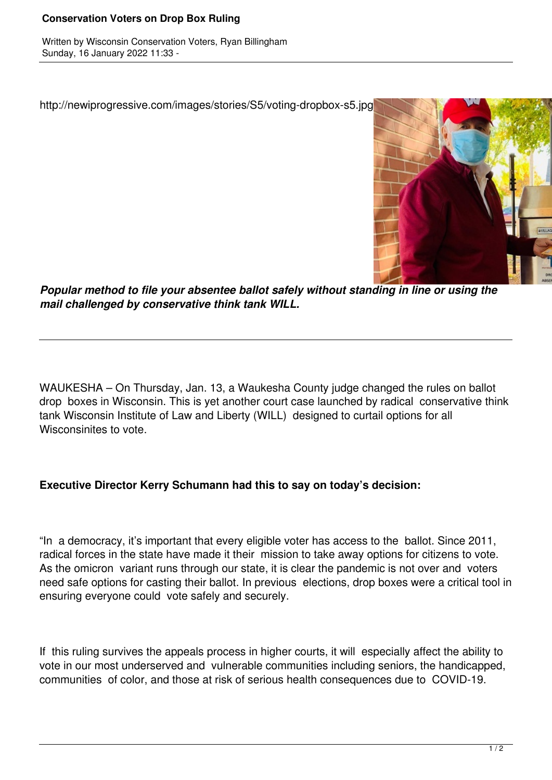## **Conservation Voters on Drop Box Ruling**

Written by Wisconsin Conservation Voters, Ryan Billingham Sunday, 16 January 2022 11:33 -

http://newiprogressive.com/images/stories/S5/voting-dropbox-s5.jpg



*Popular method to file your absentee ballot safely without standing in line or using the mail challenged by conservative think tank WILL.*

WAUKESHA – On Thursday, Jan. 13, a Waukesha County judge changed the rules on ballot drop boxes in Wisconsin. This is yet another court case launched by radical conservative think tank Wisconsin Institute of Law and Liberty (WILL) designed to curtail options for all Wisconsinites to vote.

## **Executive Director Kerry Schumann had this to say on today's decision:**

"In a democracy, it's important that every eligible voter has access to the ballot. Since 2011, radical forces in the state have made it their mission to take away options for citizens to vote. As the omicron variant runs through our state, it is clear the pandemic is not over and voters need safe options for casting their ballot. In previous elections, drop boxes were a critical tool in ensuring everyone could vote safely and securely.

If this ruling survives the appeals process in higher courts, it will especially affect the ability to vote in our most underserved and vulnerable communities including seniors, the handicapped, communities of color, and those at risk of serious health consequences due to COVID-19.